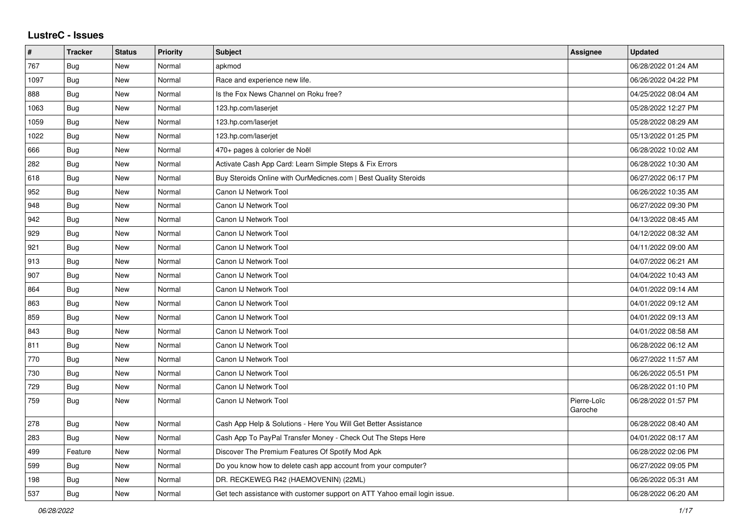## **LustreC - Issues**

| #    | <b>Tracker</b> | <b>Status</b> | <b>Priority</b> | <b>Subject</b>                                                            | <b>Assignee</b>        | <b>Updated</b>      |
|------|----------------|---------------|-----------------|---------------------------------------------------------------------------|------------------------|---------------------|
| 767  | Bug            | <b>New</b>    | Normal          | apkmod                                                                    |                        | 06/28/2022 01:24 AM |
| 1097 | Bug            | <b>New</b>    | Normal          | Race and experience new life.                                             |                        | 06/26/2022 04:22 PM |
| 888  | <b>Bug</b>     | New           | Normal          | Is the Fox News Channel on Roku free?                                     |                        | 04/25/2022 08:04 AM |
| 1063 | <b>Bug</b>     | New           | Normal          | 123.hp.com/laserjet                                                       |                        | 05/28/2022 12:27 PM |
| 1059 | Bug            | <b>New</b>    | Normal          | 123.hp.com/laserjet                                                       |                        | 05/28/2022 08:29 AM |
| 1022 | Bug            | <b>New</b>    | Normal          | 123.hp.com/laserjet                                                       |                        | 05/13/2022 01:25 PM |
| 666  | <b>Bug</b>     | New           | Normal          | 470+ pages à colorier de Noël                                             |                        | 06/28/2022 10:02 AM |
| 282  | <b>Bug</b>     | New           | Normal          | Activate Cash App Card: Learn Simple Steps & Fix Errors                   |                        | 06/28/2022 10:30 AM |
| 618  | Bug            | <b>New</b>    | Normal          | Buy Steroids Online with OurMedicnes.com   Best Quality Steroids          |                        | 06/27/2022 06:17 PM |
| 952  | Bug            | New           | Normal          | Canon IJ Network Tool                                                     |                        | 06/26/2022 10:35 AM |
| 948  | Bug            | <b>New</b>    | Normal          | Canon IJ Network Tool                                                     |                        | 06/27/2022 09:30 PM |
| 942  | <b>Bug</b>     | <b>New</b>    | Normal          | Canon IJ Network Tool                                                     |                        | 04/13/2022 08:45 AM |
| 929  | <b>Bug</b>     | New           | Normal          | Canon IJ Network Tool                                                     |                        | 04/12/2022 08:32 AM |
| 921  | <b>Bug</b>     | <b>New</b>    | Normal          | Canon IJ Network Tool                                                     |                        | 04/11/2022 09:00 AM |
| 913  | <b>Bug</b>     | <b>New</b>    | Normal          | Canon IJ Network Tool                                                     |                        | 04/07/2022 06:21 AM |
| 907  | <b>Bug</b>     | <b>New</b>    | Normal          | Canon IJ Network Tool                                                     |                        | 04/04/2022 10:43 AM |
| 864  | <b>Bug</b>     | New           | Normal          | Canon IJ Network Tool                                                     |                        | 04/01/2022 09:14 AM |
| 863  | <b>Bug</b>     | New           | Normal          | Canon IJ Network Tool                                                     |                        | 04/01/2022 09:12 AM |
| 859  | <b>Bug</b>     | <b>New</b>    | Normal          | Canon IJ Network Tool                                                     |                        | 04/01/2022 09:13 AM |
| 843  | Bug            | <b>New</b>    | Normal          | Canon IJ Network Tool                                                     |                        | 04/01/2022 08:58 AM |
| 811  | Bug            | New           | Normal          | Canon IJ Network Tool                                                     |                        | 06/28/2022 06:12 AM |
| 770  | Bug            | New           | Normal          | Canon IJ Network Tool                                                     |                        | 06/27/2022 11:57 AM |
| 730  | Bug            | <b>New</b>    | Normal          | Canon IJ Network Tool                                                     |                        | 06/26/2022 05:51 PM |
| 729  | <b>Bug</b>     | New           | Normal          | Canon IJ Network Tool                                                     |                        | 06/28/2022 01:10 PM |
| 759  | <b>Bug</b>     | <b>New</b>    | Normal          | Canon IJ Network Tool                                                     | Pierre-Loïc<br>Garoche | 06/28/2022 01:57 PM |
| 278  | Bug            | New           | Normal          | Cash App Help & Solutions - Here You Will Get Better Assistance           |                        | 06/28/2022 08:40 AM |
| 283  | <b>Bug</b>     | New           | Normal          | Cash App To PayPal Transfer Money - Check Out The Steps Here              |                        | 04/01/2022 08:17 AM |
| 499  | Feature        | <b>New</b>    | Normal          | Discover The Premium Features Of Spotify Mod Apk                          |                        | 06/28/2022 02:06 PM |
| 599  | <b>Bug</b>     | New           | Normal          | Do you know how to delete cash app account from your computer?            |                        | 06/27/2022 09:05 PM |
| 198  | <b>Bug</b>     | New           | Normal          | DR. RECKEWEG R42 (HAEMOVENIN) (22ML)                                      |                        | 06/26/2022 05:31 AM |
| 537  | <b>Bug</b>     | <b>New</b>    | Normal          | Get tech assistance with customer support on ATT Yahoo email login issue. |                        | 06/28/2022 06:20 AM |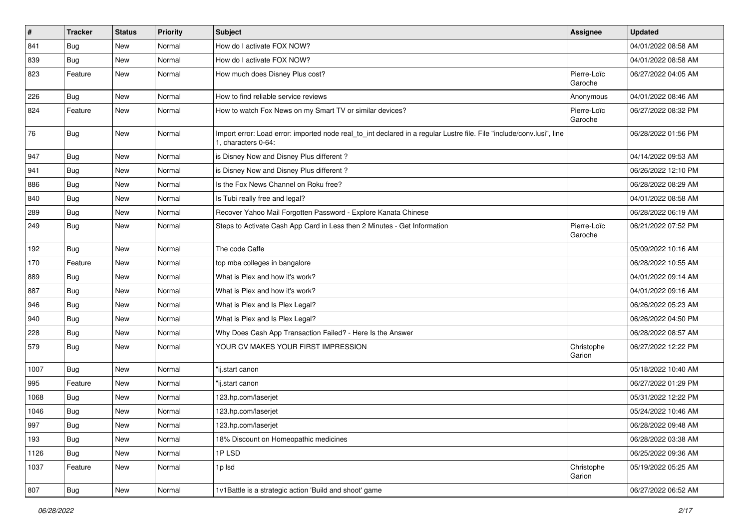| $\vert$ # | <b>Tracker</b> | <b>Status</b> | <b>Priority</b> | <b>Subject</b>                                                                                                                               | Assignee               | <b>Updated</b>      |
|-----------|----------------|---------------|-----------------|----------------------------------------------------------------------------------------------------------------------------------------------|------------------------|---------------------|
| 841       | <b>Bug</b>     | New           | Normal          | How do I activate FOX NOW?                                                                                                                   |                        | 04/01/2022 08:58 AM |
| 839       | Bug            | New           | Normal          | How do I activate FOX NOW?                                                                                                                   |                        | 04/01/2022 08:58 AM |
| 823       | Feature        | New           | Normal          | How much does Disney Plus cost?                                                                                                              | Pierre-Loïc<br>Garoche | 06/27/2022 04:05 AM |
| 226       | Bug            | New           | Normal          | How to find reliable service reviews                                                                                                         | Anonymous              | 04/01/2022 08:46 AM |
| 824       | Feature        | New           | Normal          | How to watch Fox News on my Smart TV or similar devices?                                                                                     | Pierre-Loïc<br>Garoche | 06/27/2022 08:32 PM |
| 76        | Bug            | New           | Normal          | Import error: Load error: imported node real_to_int declared in a regular Lustre file. File "include/conv.lusi", line<br>1. characters 0-64: |                        | 06/28/2022 01:56 PM |
| 947       | Bug            | New           | Normal          | is Disney Now and Disney Plus different?                                                                                                     |                        | 04/14/2022 09:53 AM |
| 941       | Bug            | New           | Normal          | is Disney Now and Disney Plus different?                                                                                                     |                        | 06/26/2022 12:10 PM |
| 886       | <b>Bug</b>     | New           | Normal          | Is the Fox News Channel on Roku free?                                                                                                        |                        | 06/28/2022 08:29 AM |
| 840       | Bug            | New           | Normal          | Is Tubi really free and legal?                                                                                                               |                        | 04/01/2022 08:58 AM |
| 289       | <b>Bug</b>     | New           | Normal          | Recover Yahoo Mail Forgotten Password - Explore Kanata Chinese                                                                               |                        | 06/28/2022 06:19 AM |
| 249       | <b>Bug</b>     | New           | Normal          | Steps to Activate Cash App Card in Less then 2 Minutes - Get Information                                                                     | Pierre-Loïc<br>Garoche | 06/21/2022 07:52 PM |
| 192       | <b>Bug</b>     | New           | Normal          | The code Caffe                                                                                                                               |                        | 05/09/2022 10:16 AM |
| 170       | Feature        | New           | Normal          | top mba colleges in bangalore                                                                                                                |                        | 06/28/2022 10:55 AM |
| 889       | <b>Bug</b>     | New           | Normal          | What is Plex and how it's work?                                                                                                              |                        | 04/01/2022 09:14 AM |
| 887       | Bug            | New           | Normal          | What is Plex and how it's work?                                                                                                              |                        | 04/01/2022 09:16 AM |
| 946       | Bug            | New           | Normal          | What is Plex and Is Plex Legal?                                                                                                              |                        | 06/26/2022 05:23 AM |
| 940       | Bug            | New           | Normal          | What is Plex and Is Plex Legal?                                                                                                              |                        | 06/26/2022 04:50 PM |
| 228       | Bug            | New           | Normal          | Why Does Cash App Transaction Failed? - Here Is the Answer                                                                                   |                        | 06/28/2022 08:57 AM |
| 579       | Bug            | New           | Normal          | YOUR CV MAKES YOUR FIRST IMPRESSION                                                                                                          | Christophe<br>Garion   | 06/27/2022 12:22 PM |
| 1007      | Bug            | New           | Normal          | "ij.start canon                                                                                                                              |                        | 05/18/2022 10:40 AM |
| 995       | Feature        | New           | Normal          | 'ij.start canon                                                                                                                              |                        | 06/27/2022 01:29 PM |
| 1068      | Bug            | New           | Normal          | 123.hp.com/laserjet                                                                                                                          |                        | 05/31/2022 12:22 PM |
| 1046      | Bug            | New           | Normal          | 123.hp.com/laserjet                                                                                                                          |                        | 05/24/2022 10:46 AM |
| 997       | Bug            | New           | Normal          | 123.hp.com/laserjet                                                                                                                          |                        | 06/28/2022 09:48 AM |
| 193       | Bug            | New           | Normal          | 18% Discount on Homeopathic medicines                                                                                                        |                        | 06/28/2022 03:38 AM |
| 1126      | Bug            | New           | Normal          | 1PLSD                                                                                                                                        |                        | 06/25/2022 09:36 AM |
| 1037      | Feature        | New           | Normal          | 1p lsd                                                                                                                                       | Christophe<br>Garion   | 05/19/2022 05:25 AM |
| 807       | Bug            | New           | Normal          | 1v1Battle is a strategic action 'Build and shoot' game                                                                                       |                        | 06/27/2022 06:52 AM |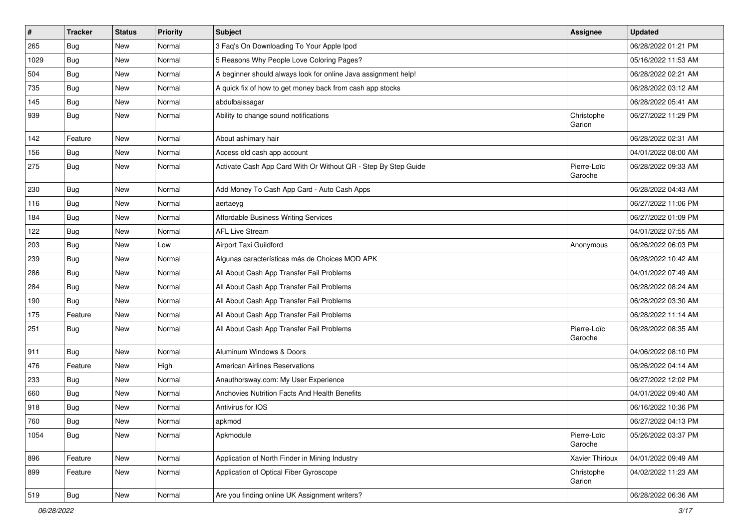| $\vert$ # | <b>Tracker</b> | <b>Status</b> | <b>Priority</b> | <b>Subject</b>                                                 | <b>Assignee</b>        | <b>Updated</b>      |
|-----------|----------------|---------------|-----------------|----------------------------------------------------------------|------------------------|---------------------|
| 265       | Bug            | New           | Normal          | 3 Faq's On Downloading To Your Apple Ipod                      |                        | 06/28/2022 01:21 PM |
| 1029      | Bug            | New           | Normal          | 5 Reasons Why People Love Coloring Pages?                      |                        | 05/16/2022 11:53 AM |
| 504       | <b>Bug</b>     | New           | Normal          | A beginner should always look for online Java assignment help! |                        | 06/28/2022 02:21 AM |
| 735       | <b>Bug</b>     | New           | Normal          | A quick fix of how to get money back from cash app stocks      |                        | 06/28/2022 03:12 AM |
| 145       | Bug            | New           | Normal          | abdulbaissagar                                                 |                        | 06/28/2022 05:41 AM |
| 939       | <b>Bug</b>     | New           | Normal          | Ability to change sound notifications                          | Christophe<br>Garion   | 06/27/2022 11:29 PM |
| 142       | Feature        | New           | Normal          | About ashimary hair                                            |                        | 06/28/2022 02:31 AM |
| 156       | <b>Bug</b>     | New           | Normal          | Access old cash app account                                    |                        | 04/01/2022 08:00 AM |
| 275       | <b>Bug</b>     | New           | Normal          | Activate Cash App Card With Or Without QR - Step By Step Guide | Pierre-Loïc<br>Garoche | 06/28/2022 09:33 AM |
| 230       | Bug            | New           | Normal          | Add Money To Cash App Card - Auto Cash Apps                    |                        | 06/28/2022 04:43 AM |
| 116       | Bug            | New           | Normal          | aertaeyg                                                       |                        | 06/27/2022 11:06 PM |
| 184       | <b>Bug</b>     | New           | Normal          | Affordable Business Writing Services                           |                        | 06/27/2022 01:09 PM |
| 122       | <b>Bug</b>     | New           | Normal          | <b>AFL Live Stream</b>                                         |                        | 04/01/2022 07:55 AM |
| 203       | <b>Bug</b>     | New           | Low             | Airport Taxi Guildford                                         | Anonymous              | 06/26/2022 06:03 PM |
| 239       | <b>Bug</b>     | New           | Normal          | Algunas características más de Choices MOD APK                 |                        | 06/28/2022 10:42 AM |
| 286       | Bug            | New           | Normal          | All About Cash App Transfer Fail Problems                      |                        | 04/01/2022 07:49 AM |
| 284       | Bug            | New           | Normal          | All About Cash App Transfer Fail Problems                      |                        | 06/28/2022 08:24 AM |
| 190       | Bug            | New           | Normal          | All About Cash App Transfer Fail Problems                      |                        | 06/28/2022 03:30 AM |
| 175       | Feature        | New           | Normal          | All About Cash App Transfer Fail Problems                      |                        | 06/28/2022 11:14 AM |
| 251       | <b>Bug</b>     | New           | Normal          | All About Cash App Transfer Fail Problems                      | Pierre-Loïc<br>Garoche | 06/28/2022 08:35 AM |
| 911       | Bug            | New           | Normal          | Aluminum Windows & Doors                                       |                        | 04/06/2022 08:10 PM |
| 476       | Feature        | New           | High            | <b>American Airlines Reservations</b>                          |                        | 06/26/2022 04:14 AM |
| 233       | Bug            | New           | Normal          | Anauthorsway.com: My User Experience                           |                        | 06/27/2022 12:02 PM |
| 660       | Bug            | New           | Normal          | Anchovies Nutrition Facts And Health Benefits                  |                        | 04/01/2022 09:40 AM |
| 918       | <b>Bug</b>     | New           | Normal          | Antivirus for IOS                                              |                        | 06/16/2022 10:36 PM |
| 760       | Bug            | New           | Normal          | apkmod                                                         |                        | 06/27/2022 04:13 PM |
| 1054      | <b>Bug</b>     | New           | Normal          | Apkmodule                                                      | Pierre-Loïc<br>Garoche | 05/26/2022 03:37 PM |
| 896       | Feature        | New           | Normal          | Application of North Finder in Mining Industry                 | Xavier Thirioux        | 04/01/2022 09:49 AM |
| 899       | Feature        | New           | Normal          | Application of Optical Fiber Gyroscope                         | Christophe<br>Garion   | 04/02/2022 11:23 AM |
| 519       | Bug            | New           | Normal          | Are you finding online UK Assignment writers?                  |                        | 06/28/2022 06:36 AM |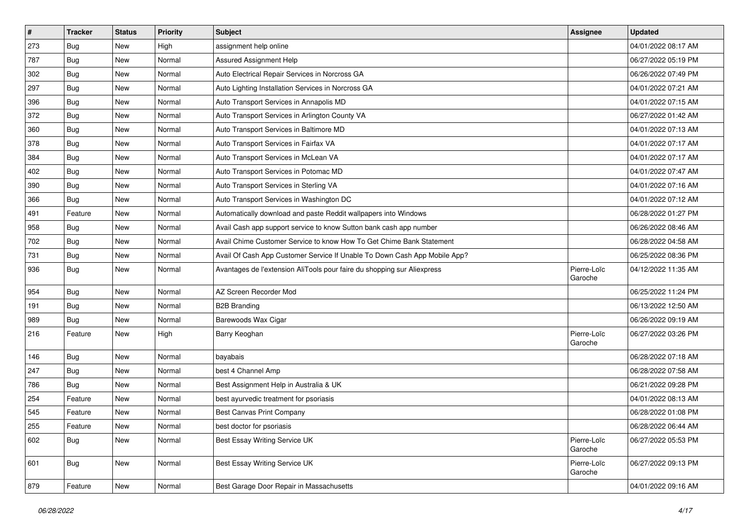| $\vert$ # | <b>Tracker</b> | <b>Status</b> | <b>Priority</b> | <b>Subject</b>                                                            | <b>Assignee</b>        | <b>Updated</b>      |
|-----------|----------------|---------------|-----------------|---------------------------------------------------------------------------|------------------------|---------------------|
| 273       | Bug            | New           | High            | assignment help online                                                    |                        | 04/01/2022 08:17 AM |
| 787       | Bug            | <b>New</b>    | Normal          | <b>Assured Assignment Help</b>                                            |                        | 06/27/2022 05:19 PM |
| 302       | <b>Bug</b>     | New           | Normal          | Auto Electrical Repair Services in Norcross GA                            |                        | 06/26/2022 07:49 PM |
| 297       | <b>Bug</b>     | New           | Normal          | Auto Lighting Installation Services in Norcross GA                        |                        | 04/01/2022 07:21 AM |
| 396       | Bug            | New           | Normal          | Auto Transport Services in Annapolis MD                                   |                        | 04/01/2022 07:15 AM |
| 372       | Bug            | New           | Normal          | Auto Transport Services in Arlington County VA                            |                        | 06/27/2022 01:42 AM |
| 360       | Bug            | New           | Normal          | Auto Transport Services in Baltimore MD                                   |                        | 04/01/2022 07:13 AM |
| 378       | Bug            | New           | Normal          | Auto Transport Services in Fairfax VA                                     |                        | 04/01/2022 07:17 AM |
| 384       | <b>Bug</b>     | <b>New</b>    | Normal          | Auto Transport Services in McLean VA                                      |                        | 04/01/2022 07:17 AM |
| 402       | Bug            | New           | Normal          | Auto Transport Services in Potomac MD                                     |                        | 04/01/2022 07:47 AM |
| 390       | Bug            | New           | Normal          | Auto Transport Services in Sterling VA                                    |                        | 04/01/2022 07:16 AM |
| 366       | Bug            | New           | Normal          | Auto Transport Services in Washington DC                                  |                        | 04/01/2022 07:12 AM |
| 491       | Feature        | New           | Normal          | Automatically download and paste Reddit wallpapers into Windows           |                        | 06/28/2022 01:27 PM |
| 958       | <b>Bug</b>     | New           | Normal          | Avail Cash app support service to know Sutton bank cash app number        |                        | 06/26/2022 08:46 AM |
| 702       | Bug            | New           | Normal          | Avail Chime Customer Service to know How To Get Chime Bank Statement      |                        | 06/28/2022 04:58 AM |
| 731       | <b>Bug</b>     | New           | Normal          | Avail Of Cash App Customer Service If Unable To Down Cash App Mobile App? |                        | 06/25/2022 08:36 PM |
| 936       | <b>Bug</b>     | New           | Normal          | Avantages de l'extension AliTools pour faire du shopping sur Aliexpress   | Pierre-Loïc<br>Garoche | 04/12/2022 11:35 AM |
| 954       | <b>Bug</b>     | New           | Normal          | AZ Screen Recorder Mod                                                    |                        | 06/25/2022 11:24 PM |
| 191       | Bug            | New           | Normal          | <b>B2B Branding</b>                                                       |                        | 06/13/2022 12:50 AM |
| 989       | <b>Bug</b>     | New           | Normal          | Barewoods Wax Cigar                                                       |                        | 06/26/2022 09:19 AM |
| 216       | Feature        | New           | High            | Barry Keoghan                                                             | Pierre-Loïc<br>Garoche | 06/27/2022 03:26 PM |
| 146       | <b>Bug</b>     | New           | Normal          | bayabais                                                                  |                        | 06/28/2022 07:18 AM |
| 247       | <b>Bug</b>     | New           | Normal          | best 4 Channel Amp                                                        |                        | 06/28/2022 07:58 AM |
| 786       | <b>Bug</b>     | New           | Normal          | Best Assignment Help in Australia & UK                                    |                        | 06/21/2022 09:28 PM |
| 254       | Feature        | New           | Normal          | best ayurvedic treatment for psoriasis                                    |                        | 04/01/2022 08:13 AM |
| 545       | Feature        | <b>New</b>    | Normal          | Best Canvas Print Company                                                 |                        | 06/28/2022 01:08 PM |
| 255       | Feature        | New           | Normal          | best doctor for psoriasis                                                 |                        | 06/28/2022 06:44 AM |
| 602       | Bug            | New           | Normal          | Best Essay Writing Service UK                                             | Pierre-Loïc<br>Garoche | 06/27/2022 05:53 PM |
| 601       | Bug            | New           | Normal          | <b>Best Essay Writing Service UK</b>                                      | Pierre-Loïc<br>Garoche | 06/27/2022 09:13 PM |
| 879       | Feature        | New           | Normal          | Best Garage Door Repair in Massachusetts                                  |                        | 04/01/2022 09:16 AM |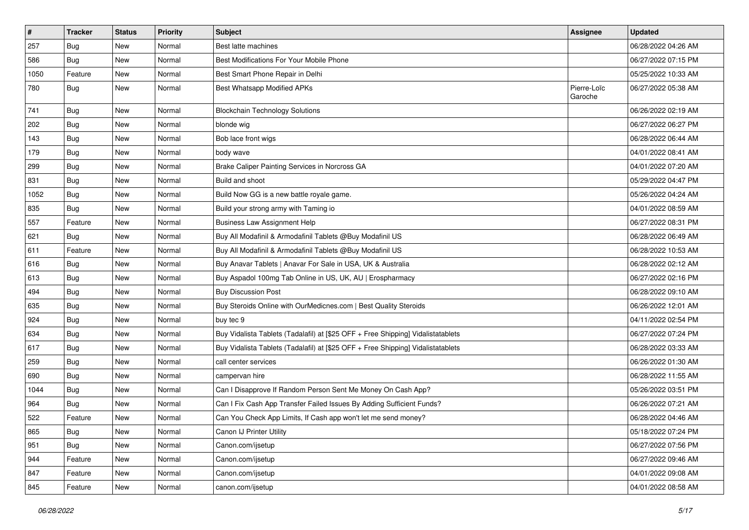| $\sharp$ | <b>Tracker</b> | <b>Status</b> | <b>Priority</b> | Subject                                                                          | <b>Assignee</b>        | <b>Updated</b>      |
|----------|----------------|---------------|-----------------|----------------------------------------------------------------------------------|------------------------|---------------------|
| 257      | Bug            | New           | Normal          | Best latte machines                                                              |                        | 06/28/2022 04:26 AM |
| 586      | Bug            | New           | Normal          | Best Modifications For Your Mobile Phone                                         |                        | 06/27/2022 07:15 PM |
| 1050     | Feature        | New           | Normal          | Best Smart Phone Repair in Delhi                                                 |                        | 05/25/2022 10:33 AM |
| 780      | Bug            | New           | Normal          | Best Whatsapp Modified APKs                                                      | Pierre-Loïc<br>Garoche | 06/27/2022 05:38 AM |
| 741      | Bug            | New           | Normal          | <b>Blockchain Technology Solutions</b>                                           |                        | 06/26/2022 02:19 AM |
| 202      | <b>Bug</b>     | New           | Normal          | blonde wig                                                                       |                        | 06/27/2022 06:27 PM |
| 143      | Bug            | New           | Normal          | Bob lace front wigs                                                              |                        | 06/28/2022 06:44 AM |
| 179      | Bug            | New           | Normal          | body wave                                                                        |                        | 04/01/2022 08:41 AM |
| 299      | Bug            | New           | Normal          | Brake Caliper Painting Services in Norcross GA                                   |                        | 04/01/2022 07:20 AM |
| 831      | Bug            | New           | Normal          | Build and shoot                                                                  |                        | 05/29/2022 04:47 PM |
| 1052     | Bug            | New           | Normal          | Build Now GG is a new battle royale game.                                        |                        | 05/26/2022 04:24 AM |
| 835      | Bug            | New           | Normal          | Build your strong army with Taming io                                            |                        | 04/01/2022 08:59 AM |
| 557      | Feature        | New           | Normal          | <b>Business Law Assignment Help</b>                                              |                        | 06/27/2022 08:31 PM |
| 621      | Bug            | New           | Normal          | Buy All Modafinil & Armodafinil Tablets @Buy Modafinil US                        |                        | 06/28/2022 06:49 AM |
| 611      | Feature        | New           | Normal          | Buy All Modafinil & Armodafinil Tablets @Buy Modafinil US                        |                        | 06/28/2022 10:53 AM |
| 616      | Bug            | New           | Normal          | Buy Anavar Tablets   Anavar For Sale in USA, UK & Australia                      |                        | 06/28/2022 02:12 AM |
| 613      | Bug            | New           | Normal          | Buy Aspadol 100mg Tab Online in US, UK, AU   Erospharmacy                        |                        | 06/27/2022 02:16 PM |
| 494      | Bug            | New           | Normal          | <b>Buy Discussion Post</b>                                                       |                        | 06/28/2022 09:10 AM |
| 635      | <b>Bug</b>     | New           | Normal          | Buy Steroids Online with OurMedicnes.com   Best Quality Steroids                 |                        | 06/26/2022 12:01 AM |
| 924      | Bug            | New           | Normal          | buy tec 9                                                                        |                        | 04/11/2022 02:54 PM |
| 634      | Bug            | New           | Normal          | Buy Vidalista Tablets (Tadalafil) at [\$25 OFF + Free Shipping] Vidalistatablets |                        | 06/27/2022 07:24 PM |
| 617      | Bug            | New           | Normal          | Buy Vidalista Tablets (Tadalafil) at [\$25 OFF + Free Shipping] Vidalistatablets |                        | 06/28/2022 03:33 AM |
| 259      | Bug            | New           | Normal          | call center services                                                             |                        | 06/26/2022 01:30 AM |
| 690      | Bug            | New           | Normal          | campervan hire                                                                   |                        | 06/28/2022 11:55 AM |
| 1044     | Bug            | New           | Normal          | Can I Disapprove If Random Person Sent Me Money On Cash App?                     |                        | 05/26/2022 03:51 PM |
| 964      | <b>Bug</b>     | New           | Normal          | Can I Fix Cash App Transfer Failed Issues By Adding Sufficient Funds?            |                        | 06/26/2022 07:21 AM |
| 522      | Feature        | New           | Normal          | Can You Check App Limits, If Cash app won't let me send money?                   |                        | 06/28/2022 04:46 AM |
| 865      | <b>Bug</b>     | New           | Normal          | Canon IJ Printer Utility                                                         |                        | 05/18/2022 07:24 PM |
| 951      | <b>Bug</b>     | New           | Normal          | Canon.com/ijsetup                                                                |                        | 06/27/2022 07:56 PM |
| 944      | Feature        | New           | Normal          | Canon.com/ijsetup                                                                |                        | 06/27/2022 09:46 AM |
| 847      | Feature        | New           | Normal          | Canon.com/ijsetup                                                                |                        | 04/01/2022 09:08 AM |
| 845      | Feature        | New           | Normal          | canon.com/ijsetup                                                                |                        | 04/01/2022 08:58 AM |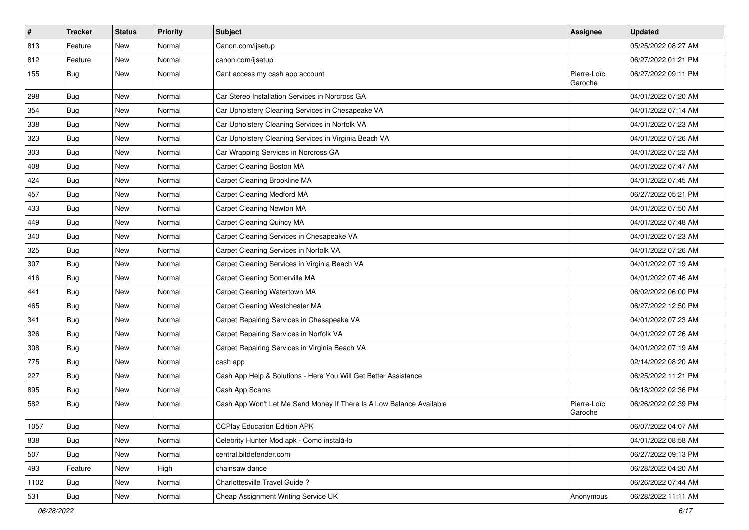| $\sharp$ | <b>Tracker</b> | <b>Status</b> | <b>Priority</b> | Subject                                                              | <b>Assignee</b>        | <b>Updated</b>      |
|----------|----------------|---------------|-----------------|----------------------------------------------------------------------|------------------------|---------------------|
| 813      | Feature        | New           | Normal          | Canon.com/ijsetup                                                    |                        | 05/25/2022 08:27 AM |
| 812      | Feature        | <b>New</b>    | Normal          | canon.com/ijsetup                                                    |                        | 06/27/2022 01:21 PM |
| 155      | Bug            | New           | Normal          | Cant access my cash app account                                      | Pierre-Loïc<br>Garoche | 06/27/2022 09:11 PM |
| 298      | Bug            | <b>New</b>    | Normal          | Car Stereo Installation Services in Norcross GA                      |                        | 04/01/2022 07:20 AM |
| 354      | <b>Bug</b>     | New           | Normal          | Car Upholstery Cleaning Services in Chesapeake VA                    |                        | 04/01/2022 07:14 AM |
| 338      | <b>Bug</b>     | New           | Normal          | Car Upholstery Cleaning Services in Norfolk VA                       |                        | 04/01/2022 07:23 AM |
| 323      | <b>Bug</b>     | New           | Normal          | Car Upholstery Cleaning Services in Virginia Beach VA                |                        | 04/01/2022 07:26 AM |
| 303      | <b>Bug</b>     | New           | Normal          | Car Wrapping Services in Norcross GA                                 |                        | 04/01/2022 07:22 AM |
| 408      | Bug            | <b>New</b>    | Normal          | Carpet Cleaning Boston MA                                            |                        | 04/01/2022 07:47 AM |
| 424      | <b>Bug</b>     | New           | Normal          | Carpet Cleaning Brookline MA                                         |                        | 04/01/2022 07:45 AM |
| 457      | <b>Bug</b>     | <b>New</b>    | Normal          | Carpet Cleaning Medford MA                                           |                        | 06/27/2022 05:21 PM |
| 433      | Bug            | New           | Normal          | Carpet Cleaning Newton MA                                            |                        | 04/01/2022 07:50 AM |
| 449      | Bug            | New           | Normal          | <b>Carpet Cleaning Quincy MA</b>                                     |                        | 04/01/2022 07:48 AM |
| 340      | Bug            | <b>New</b>    | Normal          | Carpet Cleaning Services in Chesapeake VA                            |                        | 04/01/2022 07:23 AM |
| 325      | <b>Bug</b>     | New           | Normal          | Carpet Cleaning Services in Norfolk VA                               |                        | 04/01/2022 07:26 AM |
| 307      | Bug            | New           | Normal          | Carpet Cleaning Services in Virginia Beach VA                        |                        | 04/01/2022 07:19 AM |
| 416      | Bug            | New           | Normal          | Carpet Cleaning Somerville MA                                        |                        | 04/01/2022 07:46 AM |
| 441      | <b>Bug</b>     | New           | Normal          | Carpet Cleaning Watertown MA                                         |                        | 06/02/2022 06:00 PM |
| 465      | Bug            | New           | Normal          | Carpet Cleaning Westchester MA                                       |                        | 06/27/2022 12:50 PM |
| 341      | <b>Bug</b>     | <b>New</b>    | Normal          | Carpet Repairing Services in Chesapeake VA                           |                        | 04/01/2022 07:23 AM |
| 326      | <b>Bug</b>     | New           | Normal          | Carpet Repairing Services in Norfolk VA                              |                        | 04/01/2022 07:26 AM |
| 308      | Bug            | <b>New</b>    | Normal          | Carpet Repairing Services in Virginia Beach VA                       |                        | 04/01/2022 07:19 AM |
| 775      | <b>Bug</b>     | New           | Normal          | cash app                                                             |                        | 02/14/2022 08:20 AM |
| 227      | Bug            | New           | Normal          | Cash App Help & Solutions - Here You Will Get Better Assistance      |                        | 06/25/2022 11:21 PM |
| 895      | <b>Bug</b>     | New           | Normal          | Cash App Scams                                                       |                        | 06/18/2022 02:36 PM |
| 582      | <b>Bug</b>     | New           | Normal          | Cash App Won't Let Me Send Money If There Is A Low Balance Available | Pierre-Loïc<br>Garoche | 06/26/2022 02:39 PM |
| 1057     | Bug            | New           | Normal          | <b>CCPlay Education Edition APK</b>                                  |                        | 06/07/2022 04:07 AM |
| 838      | Bug            | New           | Normal          | Celebrity Hunter Mod apk - Como instalá-lo                           |                        | 04/01/2022 08:58 AM |
| 507      | Bug            | New           | Normal          | central.bitdefender.com                                              |                        | 06/27/2022 09:13 PM |
| 493      | Feature        | New           | High            | chainsaw dance                                                       |                        | 06/28/2022 04:20 AM |
| 1102     | Bug            | New           | Normal          | Charlottesville Travel Guide ?                                       |                        | 06/26/2022 07:44 AM |
| 531      | <b>Bug</b>     | New           | Normal          | Cheap Assignment Writing Service UK                                  | Anonymous              | 06/28/2022 11:11 AM |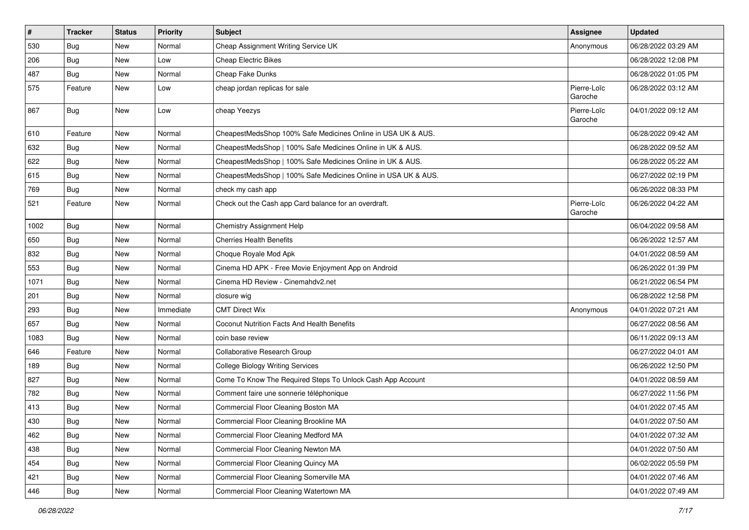| $\vert$ # | <b>Tracker</b> | <b>Status</b> | <b>Priority</b> | <b>Subject</b>                                                 | Assignee               | <b>Updated</b>      |
|-----------|----------------|---------------|-----------------|----------------------------------------------------------------|------------------------|---------------------|
| 530       | Bug            | New           | Normal          | Cheap Assignment Writing Service UK                            | Anonymous              | 06/28/2022 03:29 AM |
| 206       | Bug            | New           | Low             | <b>Cheap Electric Bikes</b>                                    |                        | 06/28/2022 12:08 PM |
| 487       | <b>Bug</b>     | New           | Normal          | Cheap Fake Dunks                                               |                        | 06/28/2022 01:05 PM |
| 575       | Feature        | New           | Low             | cheap jordan replicas for sale                                 | Pierre-Loïc<br>Garoche | 06/28/2022 03:12 AM |
| 867       | Bug            | New           | Low             | cheap Yeezys                                                   | Pierre-Loïc<br>Garoche | 04/01/2022 09:12 AM |
| 610       | Feature        | New           | Normal          | CheapestMedsShop 100% Safe Medicines Online in USA UK & AUS.   |                        | 06/28/2022 09:42 AM |
| 632       | Bug            | New           | Normal          | CheapestMedsShop   100% Safe Medicines Online in UK & AUS.     |                        | 06/28/2022 09:52 AM |
| 622       | <b>Bug</b>     | New           | Normal          | CheapestMedsShop   100% Safe Medicines Online in UK & AUS.     |                        | 06/28/2022 05:22 AM |
| 615       | <b>Bug</b>     | New           | Normal          | CheapestMedsShop   100% Safe Medicines Online in USA UK & AUS. |                        | 06/27/2022 02:19 PM |
| 769       | <b>Bug</b>     | New           | Normal          | check my cash app                                              |                        | 06/26/2022 08:33 PM |
| 521       | Feature        | New           | Normal          | Check out the Cash app Card balance for an overdraft.          | Pierre-Loïc<br>Garoche | 06/26/2022 04:22 AM |
| 1002      | Bug            | New           | Normal          | <b>Chemistry Assignment Help</b>                               |                        | 06/04/2022 09:58 AM |
| 650       | Bug            | New           | Normal          | <b>Cherries Health Benefits</b>                                |                        | 06/26/2022 12:57 AM |
| 832       | <b>Bug</b>     | New           | Normal          | Choque Royale Mod Apk                                          |                        | 04/01/2022 08:59 AM |
| 553       | Bug            | New           | Normal          | Cinema HD APK - Free Movie Enjoyment App on Android            |                        | 06/26/2022 01:39 PM |
| 1071      | <b>Bug</b>     | New           | Normal          | Cinema HD Review - Cinemahdv2.net                              |                        | 06/21/2022 06:54 PM |
| 201       | Bug            | New           | Normal          | closure wig                                                    |                        | 06/28/2022 12:58 PM |
| 293       | Bug            | New           | Immediate       | <b>CMT Direct Wix</b>                                          | Anonymous              | 04/01/2022 07:21 AM |
| 657       | <b>Bug</b>     | New           | Normal          | Coconut Nutrition Facts And Health Benefits                    |                        | 06/27/2022 08:56 AM |
| 1083      | Bug            | New           | Normal          | coin base review                                               |                        | 06/11/2022 09:13 AM |
| 646       | Feature        | New           | Normal          | Collaborative Research Group                                   |                        | 06/27/2022 04:01 AM |
| 189       | <b>Bug</b>     | New           | Normal          | <b>College Biology Writing Services</b>                        |                        | 06/26/2022 12:50 PM |
| 827       | <b>Bug</b>     | New           | Normal          | Come To Know The Required Steps To Unlock Cash App Account     |                        | 04/01/2022 08:59 AM |
| 782       | Bug            | New           | Normal          | Comment faire une sonnerie téléphonique                        |                        | 06/27/2022 11:56 PM |
| 413       | <b>Bug</b>     | New           | Normal          | Commercial Floor Cleaning Boston MA                            |                        | 04/01/2022 07:45 AM |
| 430       | Bug            | New           | Normal          | Commercial Floor Cleaning Brookline MA                         |                        | 04/01/2022 07:50 AM |
| 462       | <b>Bug</b>     | New           | Normal          | Commercial Floor Cleaning Medford MA                           |                        | 04/01/2022 07:32 AM |
| 438       | <b>Bug</b>     | New           | Normal          | Commercial Floor Cleaning Newton MA                            |                        | 04/01/2022 07:50 AM |
| 454       | <b>Bug</b>     | New           | Normal          | Commercial Floor Cleaning Quincy MA                            |                        | 06/02/2022 05:59 PM |
| 421       | Bug            | New           | Normal          | Commercial Floor Cleaning Somerville MA                        |                        | 04/01/2022 07:46 AM |
| 446       | Bug            | New           | Normal          | Commercial Floor Cleaning Watertown MA                         |                        | 04/01/2022 07:49 AM |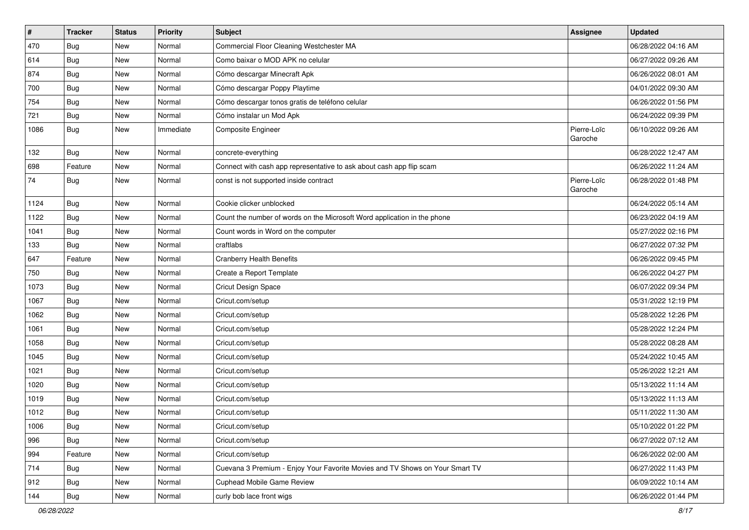| $\sharp$ | <b>Tracker</b> | <b>Status</b> | <b>Priority</b> | Subject                                                                      | <b>Assignee</b>        | <b>Updated</b>      |
|----------|----------------|---------------|-----------------|------------------------------------------------------------------------------|------------------------|---------------------|
| 470      | Bug            | New           | Normal          | Commercial Floor Cleaning Westchester MA                                     |                        | 06/28/2022 04:16 AM |
| 614      | Bug            | <b>New</b>    | Normal          | Como baixar o MOD APK no celular                                             |                        | 06/27/2022 09:26 AM |
| 874      | Bug            | New           | Normal          | Cómo descargar Minecraft Apk                                                 |                        | 06/26/2022 08:01 AM |
| 700      | Bug            | New           | Normal          | Cómo descargar Poppy Playtime                                                |                        | 04/01/2022 09:30 AM |
| 754      | Bug            | New           | Normal          | Cómo descargar tonos gratis de teléfono celular                              |                        | 06/26/2022 01:56 PM |
| 721      | Bug            | New           | Normal          | Cómo instalar un Mod Apk                                                     |                        | 06/24/2022 09:39 PM |
| 1086     | <b>Bug</b>     | New           | Immediate       | Composite Engineer                                                           | Pierre-Loïc<br>Garoche | 06/10/2022 09:26 AM |
| 132      | Bug            | New           | Normal          | concrete-everything                                                          |                        | 06/28/2022 12:47 AM |
| 698      | Feature        | New           | Normal          | Connect with cash app representative to ask about cash app flip scam         |                        | 06/26/2022 11:24 AM |
| 74       | <b>Bug</b>     | New           | Normal          | const is not supported inside contract                                       | Pierre-Loïc<br>Garoche | 06/28/2022 01:48 PM |
| 1124     | Bug            | New           | Normal          | Cookie clicker unblocked                                                     |                        | 06/24/2022 05:14 AM |
| 1122     | Bug            | New           | Normal          | Count the number of words on the Microsoft Word application in the phone     |                        | 06/23/2022 04:19 AM |
| 1041     | <b>Bug</b>     | New           | Normal          | Count words in Word on the computer                                          |                        | 05/27/2022 02:16 PM |
| 133      | <b>Bug</b>     | New           | Normal          | craftlabs                                                                    |                        | 06/27/2022 07:32 PM |
| 647      | Feature        | <b>New</b>    | Normal          | <b>Cranberry Health Benefits</b>                                             |                        | 06/26/2022 09:45 PM |
| 750      | Bug            | New           | Normal          | Create a Report Template                                                     |                        | 06/26/2022 04:27 PM |
| 1073     | <b>Bug</b>     | New           | Normal          | Cricut Design Space                                                          |                        | 06/07/2022 09:34 PM |
| 1067     | Bug            | New           | Normal          | Cricut.com/setup                                                             |                        | 05/31/2022 12:19 PM |
| 1062     | <b>Bug</b>     | New           | Normal          | Cricut.com/setup                                                             |                        | 05/28/2022 12:26 PM |
| 1061     | <b>Bug</b>     | New           | Normal          | Cricut.com/setup                                                             |                        | 05/28/2022 12:24 PM |
| 1058     | Bug            | New           | Normal          | Cricut.com/setup                                                             |                        | 05/28/2022 08:28 AM |
| 1045     | Bug            | New           | Normal          | Cricut.com/setup                                                             |                        | 05/24/2022 10:45 AM |
| 1021     | Bug            | New           | Normal          | Cricut.com/setup                                                             |                        | 05/26/2022 12:21 AM |
| 1020     | Bug            | New           | Normal          | Cricut.com/setup                                                             |                        | 05/13/2022 11:14 AM |
| 1019     | <b>Bug</b>     | New           | Normal          | Cricut.com/setup                                                             |                        | 05/13/2022 11:13 AM |
| 1012     | <b>Bug</b>     | <b>New</b>    | Normal          | Cricut.com/setup                                                             |                        | 05/11/2022 11:30 AM |
| 1006     | Bug            | New           | Normal          | Cricut.com/setup                                                             |                        | 05/10/2022 01:22 PM |
| 996      | <b>Bug</b>     | New           | Normal          | Cricut.com/setup                                                             |                        | 06/27/2022 07:12 AM |
| 994      | Feature        | New           | Normal          | Cricut.com/setup                                                             |                        | 06/26/2022 02:00 AM |
| 714      | Bug            | New           | Normal          | Cuevana 3 Premium - Enjoy Your Favorite Movies and TV Shows on Your Smart TV |                        | 06/27/2022 11:43 PM |
| 912      | <b>Bug</b>     | New           | Normal          | <b>Cuphead Mobile Game Review</b>                                            |                        | 06/09/2022 10:14 AM |
| 144      | <b>Bug</b>     | New           | Normal          | curly bob lace front wigs                                                    |                        | 06/26/2022 01:44 PM |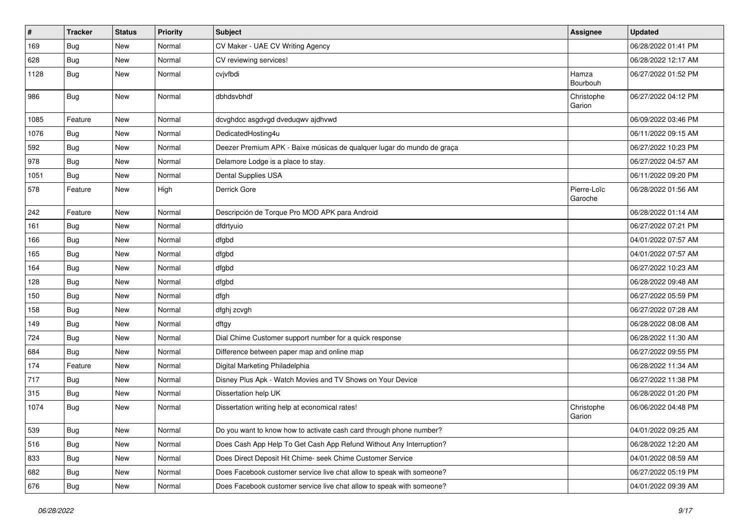| $\vert$ # | <b>Tracker</b> | <b>Status</b> | Priority | Subject                                                                | <b>Assignee</b>        | <b>Updated</b>      |
|-----------|----------------|---------------|----------|------------------------------------------------------------------------|------------------------|---------------------|
| 169       | <b>Bug</b>     | New           | Normal   | CV Maker - UAE CV Writing Agency                                       |                        | 06/28/2022 01:41 PM |
| 628       | Bug            | <b>New</b>    | Normal   | CV reviewing services!                                                 |                        | 06/28/2022 12:17 AM |
| 1128      | <b>Bug</b>     | New           | Normal   | cvjvfbdi                                                               | Hamza<br>Bourbouh      | 06/27/2022 01:52 PM |
| 986       | Bug            | New           | Normal   | dbhdsvbhdf                                                             | Christophe<br>Garion   | 06/27/2022 04:12 PM |
| 1085      | Feature        | New           | Normal   | dcvghdcc asgdvgd dveduqwv ajdhvwd                                      |                        | 06/09/2022 03:46 PM |
| 1076      | <b>Bug</b>     | New           | Normal   | DedicatedHosting4u                                                     |                        | 06/11/2022 09:15 AM |
| 592       | <b>Bug</b>     | New           | Normal   | Deezer Premium APK - Baixe músicas de qualquer lugar do mundo de graça |                        | 06/27/2022 10:23 PM |
| 978       | Bug            | New           | Normal   | Delamore Lodge is a place to stay.                                     |                        | 06/27/2022 04:57 AM |
| 1051      | Bug            | New           | Normal   | Dental Supplies USA                                                    |                        | 06/11/2022 09:20 PM |
| 578       | Feature        | New           | High     | Derrick Gore                                                           | Pierre-Loïc<br>Garoche | 06/28/2022 01:56 AM |
| 242       | Feature        | New           | Normal   | Descripción de Torque Pro MOD APK para Android                         |                        | 06/28/2022 01:14 AM |
| 161       | Bug            | New           | Normal   | dfdrtyuio                                                              |                        | 06/27/2022 07:21 PM |
| 166       | Bug            | New           | Normal   | dfgbd                                                                  |                        | 04/01/2022 07:57 AM |
| 165       | <b>Bug</b>     | <b>New</b>    | Normal   | dfgbd                                                                  |                        | 04/01/2022 07:57 AM |
| 164       | Bug            | New           | Normal   | dfgbd                                                                  |                        | 06/27/2022 10:23 AM |
| 128       | Bug            | New           | Normal   | dfgbd                                                                  |                        | 06/28/2022 09:48 AM |
| 150       | Bug            | New           | Normal   | dfgh                                                                   |                        | 06/27/2022 05:59 PM |
| 158       | Bug            | New           | Normal   | dfghj zcvgh                                                            |                        | 06/27/2022 07:28 AM |
| 149       | <b>Bug</b>     | New           | Normal   | dftgy                                                                  |                        | 06/28/2022 08:08 AM |
| 724       | Bug            | New           | Normal   | Dial Chime Customer support number for a quick response                |                        | 06/28/2022 11:30 AM |
| 684       | <b>Bug</b>     | New           | Normal   | Difference between paper map and online map                            |                        | 06/27/2022 09:55 PM |
| 174       | Feature        | New           | Normal   | Digital Marketing Philadelphia                                         |                        | 06/28/2022 11:34 AM |
| 717       | Bug            | New           | Normal   | Disney Plus Apk - Watch Movies and TV Shows on Your Device             |                        | 06/27/2022 11:38 PM |
| 315       | Bug            | New           | Normal   | Dissertation help UK                                                   |                        | 06/28/2022 01:20 PM |
| 1074      | Bug            | New           | Normal   | Dissertation writing help at economical rates!                         | Christophe<br>Garion   | 06/06/2022 04:48 PM |
| 539       | Bug            | New           | Normal   | Do you want to know how to activate cash card through phone number?    |                        | 04/01/2022 09:25 AM |
| 516       | Bug            | New           | Normal   | Does Cash App Help To Get Cash App Refund Without Any Interruption?    |                        | 06/28/2022 12:20 AM |
| 833       | <b>Bug</b>     | New           | Normal   | Does Direct Deposit Hit Chime- seek Chime Customer Service             |                        | 04/01/2022 08:59 AM |
| 682       | Bug            | New           | Normal   | Does Facebook customer service live chat allow to speak with someone?  |                        | 06/27/2022 05:19 PM |
| 676       | Bug            | New           | Normal   | Does Facebook customer service live chat allow to speak with someone?  |                        | 04/01/2022 09:39 AM |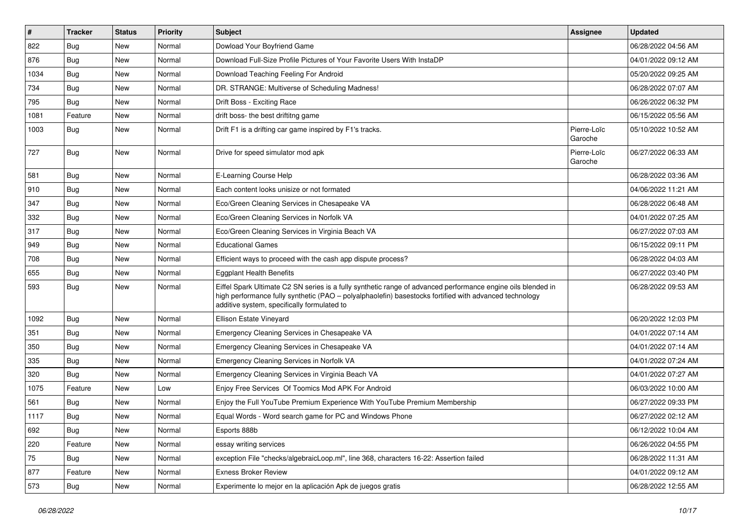| $\vert$ # | <b>Tracker</b> | <b>Status</b> | <b>Priority</b> | <b>Subject</b>                                                                                                                                                                                                                                                        | <b>Assignee</b>        | <b>Updated</b>      |
|-----------|----------------|---------------|-----------------|-----------------------------------------------------------------------------------------------------------------------------------------------------------------------------------------------------------------------------------------------------------------------|------------------------|---------------------|
| 822       | Bug            | New           | Normal          | Dowload Your Boyfriend Game                                                                                                                                                                                                                                           |                        | 06/28/2022 04:56 AM |
| 876       | Bug            | <b>New</b>    | Normal          | Download Full-Size Profile Pictures of Your Favorite Users With InstaDP                                                                                                                                                                                               |                        | 04/01/2022 09:12 AM |
| 1034      | <b>Bug</b>     | New           | Normal          | Download Teaching Feeling For Android                                                                                                                                                                                                                                 |                        | 05/20/2022 09:25 AM |
| 734       | <b>Bug</b>     | New           | Normal          | DR. STRANGE: Multiverse of Scheduling Madness!                                                                                                                                                                                                                        |                        | 06/28/2022 07:07 AM |
| 795       | <b>Bug</b>     | New           | Normal          | Drift Boss - Exciting Race                                                                                                                                                                                                                                            |                        | 06/26/2022 06:32 PM |
| 1081      | Feature        | New           | Normal          | drift boss- the best driftitng game                                                                                                                                                                                                                                   |                        | 06/15/2022 05:56 AM |
| 1003      | Bug            | New           | Normal          | Drift F1 is a drifting car game inspired by F1's tracks.                                                                                                                                                                                                              | Pierre-Loïc<br>Garoche | 05/10/2022 10:52 AM |
| 727       | <b>Bug</b>     | New           | Normal          | Drive for speed simulator mod apk                                                                                                                                                                                                                                     | Pierre-Loïc<br>Garoche | 06/27/2022 06:33 AM |
| 581       | <b>Bug</b>     | New           | Normal          | E-Learning Course Help                                                                                                                                                                                                                                                |                        | 06/28/2022 03:36 AM |
| 910       | <b>Bug</b>     | New           | Normal          | Each content looks unisize or not formated                                                                                                                                                                                                                            |                        | 04/06/2022 11:21 AM |
| 347       | Bug            | New           | Normal          | Eco/Green Cleaning Services in Chesapeake VA                                                                                                                                                                                                                          |                        | 06/28/2022 06:48 AM |
| 332       | Bug            | New           | Normal          | Eco/Green Cleaning Services in Norfolk VA                                                                                                                                                                                                                             |                        | 04/01/2022 07:25 AM |
| 317       | <b>Bug</b>     | New           | Normal          | Eco/Green Cleaning Services in Virginia Beach VA                                                                                                                                                                                                                      |                        | 06/27/2022 07:03 AM |
| 949       | <b>Bug</b>     | New           | Normal          | <b>Educational Games</b>                                                                                                                                                                                                                                              |                        | 06/15/2022 09:11 PM |
| 708       | <b>Bug</b>     | <b>New</b>    | Normal          | Efficient ways to proceed with the cash app dispute process?                                                                                                                                                                                                          |                        | 06/28/2022 04:03 AM |
| 655       | Bug            | New           | Normal          | <b>Eggplant Health Benefits</b>                                                                                                                                                                                                                                       |                        | 06/27/2022 03:40 PM |
| 593       | Bug            | New           | Normal          | Eiffel Spark Ultimate C2 SN series is a fully synthetic range of advanced performance engine oils blended in<br>high performance fully synthetic (PAO - polyalphaolefin) basestocks fortified with advanced technology<br>additive system, specifically formulated to |                        | 06/28/2022 09:53 AM |
| 1092      | Bug            | New           | Normal          | Ellison Estate Vineyard                                                                                                                                                                                                                                               |                        | 06/20/2022 12:03 PM |
| 351       | Bug            | New           | Normal          | Emergency Cleaning Services in Chesapeake VA                                                                                                                                                                                                                          |                        | 04/01/2022 07:14 AM |
| 350       | Bug            | New           | Normal          | Emergency Cleaning Services in Chesapeake VA                                                                                                                                                                                                                          |                        | 04/01/2022 07:14 AM |
| 335       | <b>Bug</b>     | New           | Normal          | Emergency Cleaning Services in Norfolk VA                                                                                                                                                                                                                             |                        | 04/01/2022 07:24 AM |
| 320       | Bug            | New           | Normal          | Emergency Cleaning Services in Virginia Beach VA                                                                                                                                                                                                                      |                        | 04/01/2022 07:27 AM |
| 1075      | Feature        | New           | Low             | Eniov Free Services Of Toomics Mod APK For Android                                                                                                                                                                                                                    |                        | 06/03/2022 10:00 AM |
| 561       | Bug            | New           | Normal          | Enjoy the Full YouTube Premium Experience With YouTube Premium Membership                                                                                                                                                                                             |                        | 06/27/2022 09:33 PM |
| 1117      | <b>Bug</b>     | New           | Normal          | Equal Words - Word search game for PC and Windows Phone                                                                                                                                                                                                               |                        | 06/27/2022 02:12 AM |
| 692       | <b>Bug</b>     | New           | Normal          | Esports 888b                                                                                                                                                                                                                                                          |                        | 06/12/2022 10:04 AM |
| 220       | Feature        | New           | Normal          | essay writing services                                                                                                                                                                                                                                                |                        | 06/26/2022 04:55 PM |
| 75        | <b>Bug</b>     | New           | Normal          | exception File "checks/algebraicLoop.ml", line 368, characters 16-22: Assertion failed                                                                                                                                                                                |                        | 06/28/2022 11:31 AM |
| 877       | Feature        | New           | Normal          | <b>Exness Broker Review</b>                                                                                                                                                                                                                                           |                        | 04/01/2022 09:12 AM |
| 573       | <b>Bug</b>     | New           | Normal          | Experimente lo mejor en la aplicación Apk de juegos gratis                                                                                                                                                                                                            |                        | 06/28/2022 12:55 AM |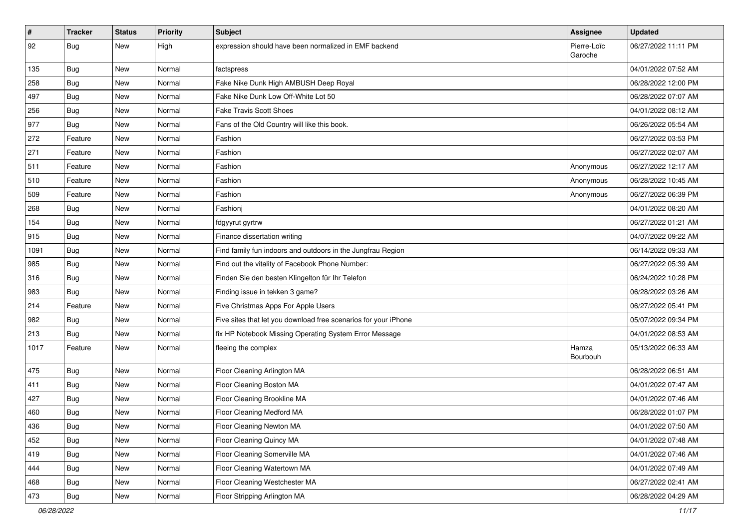| $\vert$ # | <b>Tracker</b> | <b>Status</b> | <b>Priority</b> | <b>Subject</b>                                                  | Assignee               | <b>Updated</b>      |
|-----------|----------------|---------------|-----------------|-----------------------------------------------------------------|------------------------|---------------------|
| 92        | Bug            | New           | High            | expression should have been normalized in EMF backend           | Pierre-Loïc<br>Garoche | 06/27/2022 11:11 PM |
| 135       | <b>Bug</b>     | New           | Normal          | factspress                                                      |                        | 04/01/2022 07:52 AM |
| 258       | Bug            | New           | Normal          | Fake Nike Dunk High AMBUSH Deep Royal                           |                        | 06/28/2022 12:00 PM |
| 497       | Bug            | New           | Normal          | Fake Nike Dunk Low Off-White Lot 50                             |                        | 06/28/2022 07:07 AM |
| 256       | Bug            | New           | Normal          | <b>Fake Travis Scott Shoes</b>                                  |                        | 04/01/2022 08:12 AM |
| 977       | <b>Bug</b>     | New           | Normal          | Fans of the Old Country will like this book.                    |                        | 06/26/2022 05:54 AM |
| 272       | Feature        | New           | Normal          | Fashion                                                         |                        | 06/27/2022 03:53 PM |
| 271       | Feature        | New           | Normal          | Fashion                                                         |                        | 06/27/2022 02:07 AM |
| 511       | Feature        | New           | Normal          | Fashion                                                         | Anonymous              | 06/27/2022 12:17 AM |
| 510       | Feature        | New           | Normal          | Fashion                                                         | Anonymous              | 06/28/2022 10:45 AM |
| 509       | Feature        | New           | Normal          | Fashion                                                         | Anonymous              | 06/27/2022 06:39 PM |
| 268       | Bug            | New           | Normal          | Fashionj                                                        |                        | 04/01/2022 08:20 AM |
| 154       | <b>Bug</b>     | New           | Normal          | fdgyyrut gyrtrw                                                 |                        | 06/27/2022 01:21 AM |
| 915       | Bug            | New           | Normal          | Finance dissertation writing                                    |                        | 04/07/2022 09:22 AM |
| 1091      | Bug            | New           | Normal          | Find family fun indoors and outdoors in the Jungfrau Region     |                        | 06/14/2022 09:33 AM |
| 985       | Bug            | New           | Normal          | Find out the vitality of Facebook Phone Number:                 |                        | 06/27/2022 05:39 AM |
| 316       | Bug            | New           | Normal          | Finden Sie den besten Klingelton für Ihr Telefon                |                        | 06/24/2022 10:28 PM |
| 983       | <b>Bug</b>     | New           | Normal          | Finding issue in tekken 3 game?                                 |                        | 06/28/2022 03:26 AM |
| 214       | Feature        | New           | Normal          | Five Christmas Apps For Apple Users                             |                        | 06/27/2022 05:41 PM |
| 982       | <b>Bug</b>     | New           | Normal          | Five sites that let you download free scenarios for your iPhone |                        | 05/07/2022 09:34 PM |
| 213       | Bug            | New           | Normal          | fix HP Notebook Missing Operating System Error Message          |                        | 04/01/2022 08:53 AM |
| 1017      | Feature        | New           | Normal          | fleeing the complex                                             | Hamza<br>Bourbouh      | 05/13/2022 06:33 AM |
| 475       | i Bug          | New           | Normal          | Floor Cleaning Arlington MA                                     |                        | 06/28/2022 06:51 AM |
| 411       | Bug            | New           | Normal          | Floor Cleaning Boston MA                                        |                        | 04/01/2022 07:47 AM |
| 427       | Bug            | New           | Normal          | Floor Cleaning Brookline MA                                     |                        | 04/01/2022 07:46 AM |
| 460       | <b>Bug</b>     | New           | Normal          | Floor Cleaning Medford MA                                       |                        | 06/28/2022 01:07 PM |
| 436       | <b>Bug</b>     | New           | Normal          | Floor Cleaning Newton MA                                        |                        | 04/01/2022 07:50 AM |
| 452       | Bug            | New           | Normal          | Floor Cleaning Quincy MA                                        |                        | 04/01/2022 07:48 AM |
| 419       | Bug            | New           | Normal          | Floor Cleaning Somerville MA                                    |                        | 04/01/2022 07:46 AM |
| 444       | i Bug          | New           | Normal          | Floor Cleaning Watertown MA                                     |                        | 04/01/2022 07:49 AM |
| 468       | <b>Bug</b>     | New           | Normal          | Floor Cleaning Westchester MA                                   |                        | 06/27/2022 02:41 AM |
| 473       | <b>Bug</b>     | New           | Normal          | Floor Stripping Arlington MA                                    |                        | 06/28/2022 04:29 AM |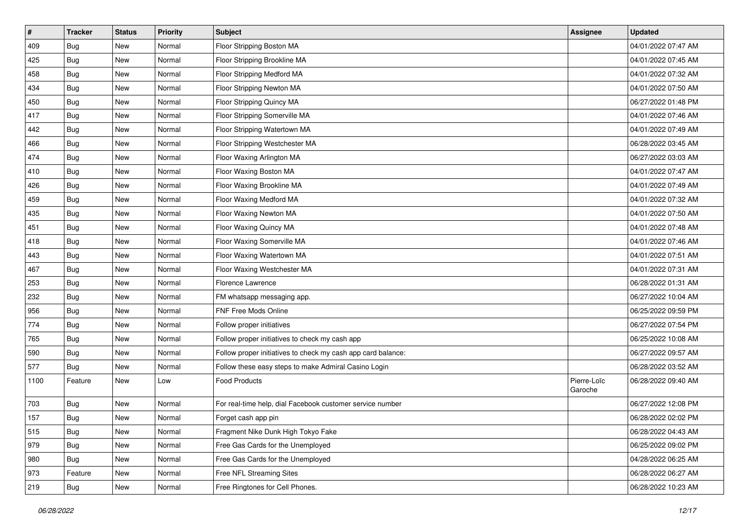| $\vert$ # | <b>Tracker</b> | <b>Status</b> | <b>Priority</b> | <b>Subject</b>                                               | <b>Assignee</b>        | <b>Updated</b>      |
|-----------|----------------|---------------|-----------------|--------------------------------------------------------------|------------------------|---------------------|
| 409       | <b>Bug</b>     | New           | Normal          | Floor Stripping Boston MA                                    |                        | 04/01/2022 07:47 AM |
| 425       | Bug            | New           | Normal          | Floor Stripping Brookline MA                                 |                        | 04/01/2022 07:45 AM |
| 458       | Bug            | New           | Normal          | Floor Stripping Medford MA                                   |                        | 04/01/2022 07:32 AM |
| 434       | <b>Bug</b>     | New           | Normal          | Floor Stripping Newton MA                                    |                        | 04/01/2022 07:50 AM |
| 450       | Bug            | New           | Normal          | Floor Stripping Quincy MA                                    |                        | 06/27/2022 01:48 PM |
| 417       | <b>Bug</b>     | New           | Normal          | Floor Stripping Somerville MA                                |                        | 04/01/2022 07:46 AM |
| 442       | Bug            | New           | Normal          | Floor Stripping Watertown MA                                 |                        | 04/01/2022 07:49 AM |
| 466       | Bug            | New           | Normal          | Floor Stripping Westchester MA                               |                        | 06/28/2022 03:45 AM |
| 474       | <b>Bug</b>     | New           | Normal          | Floor Waxing Arlington MA                                    |                        | 06/27/2022 03:03 AM |
| 410       | Bug            | New           | Normal          | Floor Waxing Boston MA                                       |                        | 04/01/2022 07:47 AM |
| 426       | <b>Bug</b>     | New           | Normal          | Floor Waxing Brookline MA                                    |                        | 04/01/2022 07:49 AM |
| 459       | <b>Bug</b>     | New           | Normal          | Floor Waxing Medford MA                                      |                        | 04/01/2022 07:32 AM |
| 435       | Bug            | New           | Normal          | Floor Waxing Newton MA                                       |                        | 04/01/2022 07:50 AM |
| 451       | Bug            | New           | Normal          | Floor Waxing Quincy MA                                       |                        | 04/01/2022 07:48 AM |
| 418       | Bug            | New           | Normal          | Floor Waxing Somerville MA                                   |                        | 04/01/2022 07:46 AM |
| 443       | <b>Bug</b>     | New           | Normal          | Floor Waxing Watertown MA                                    |                        | 04/01/2022 07:51 AM |
| 467       | <b>Bug</b>     | New           | Normal          | Floor Waxing Westchester MA                                  |                        | 04/01/2022 07:31 AM |
| 253       | Bug            | New           | Normal          | Florence Lawrence                                            |                        | 06/28/2022 01:31 AM |
| 232       | <b>Bug</b>     | New           | Normal          | FM whatsapp messaging app.                                   |                        | 06/27/2022 10:04 AM |
| 956       | Bug            | New           | Normal          | FNF Free Mods Online                                         |                        | 06/25/2022 09:59 PM |
| 774       | <b>Bug</b>     | New           | Normal          | Follow proper initiatives                                    |                        | 06/27/2022 07:54 PM |
| 765       | Bug            | New           | Normal          | Follow proper initiatives to check my cash app               |                        | 06/25/2022 10:08 AM |
| 590       | Bug            | New           | Normal          | Follow proper initiatives to check my cash app card balance: |                        | 06/27/2022 09:57 AM |
| 577       | Bug            | New           | Normal          | Follow these easy steps to make Admiral Casino Login         |                        | 06/28/2022 03:52 AM |
| 1100      | Feature        | New           | Low             | <b>Food Products</b>                                         | Pierre-Loïc<br>Garoche | 06/28/2022 09:40 AM |
| 703       | Bug            | New           | Normal          | For real-time help, dial Facebook customer service number    |                        | 06/27/2022 12:08 PM |
| 157       | <b>Bug</b>     | New           | Normal          | Forget cash app pin                                          |                        | 06/28/2022 02:02 PM |
| 515       | <b>Bug</b>     | New           | Normal          | Fragment Nike Dunk High Tokyo Fake                           |                        | 06/28/2022 04:43 AM |
| 979       | Bug            | New           | Normal          | Free Gas Cards for the Unemployed                            |                        | 06/25/2022 09:02 PM |
| 980       | Bug            | New           | Normal          | Free Gas Cards for the Unemployed                            |                        | 04/28/2022 06:25 AM |
| 973       | Feature        | New           | Normal          | Free NFL Streaming Sites                                     |                        | 06/28/2022 06:27 AM |
| 219       | <b>Bug</b>     | New           | Normal          | Free Ringtones for Cell Phones.                              |                        | 06/28/2022 10:23 AM |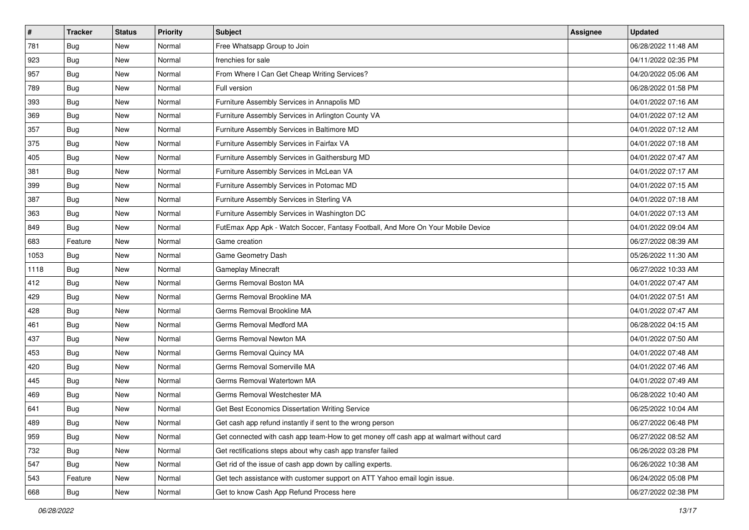| $\sharp$ | <b>Tracker</b> | <b>Status</b> | <b>Priority</b> | Subject                                                                                | <b>Assignee</b> | <b>Updated</b>      |
|----------|----------------|---------------|-----------------|----------------------------------------------------------------------------------------|-----------------|---------------------|
| 781      | Bug            | New           | Normal          | Free Whatsapp Group to Join                                                            |                 | 06/28/2022 11:48 AM |
| 923      | Bug            | New           | Normal          | frenchies for sale                                                                     |                 | 04/11/2022 02:35 PM |
| 957      | Bug            | New           | Normal          | From Where I Can Get Cheap Writing Services?                                           |                 | 04/20/2022 05:06 AM |
| 789      | Bug            | <b>New</b>    | Normal          | Full version                                                                           |                 | 06/28/2022 01:58 PM |
| 393      | Bug            | New           | Normal          | Furniture Assembly Services in Annapolis MD                                            |                 | 04/01/2022 07:16 AM |
| 369      | <b>Bug</b>     | New           | Normal          | Furniture Assembly Services in Arlington County VA                                     |                 | 04/01/2022 07:12 AM |
| 357      | Bug            | New           | Normal          | Furniture Assembly Services in Baltimore MD                                            |                 | 04/01/2022 07:12 AM |
| 375      | <b>Bug</b>     | New           | Normal          | Furniture Assembly Services in Fairfax VA                                              |                 | 04/01/2022 07:18 AM |
| 405      | Bug            | New           | Normal          | Furniture Assembly Services in Gaithersburg MD                                         |                 | 04/01/2022 07:47 AM |
| 381      | Bug            | New           | Normal          | Furniture Assembly Services in McLean VA                                               |                 | 04/01/2022 07:17 AM |
| 399      | <b>Bug</b>     | New           | Normal          | Furniture Assembly Services in Potomac MD                                              |                 | 04/01/2022 07:15 AM |
| 387      | Bug            | New           | Normal          | Furniture Assembly Services in Sterling VA                                             |                 | 04/01/2022 07:18 AM |
| 363      | Bug            | New           | Normal          | Furniture Assembly Services in Washington DC                                           |                 | 04/01/2022 07:13 AM |
| 849      | Bug            | New           | Normal          | FutEmax App Apk - Watch Soccer, Fantasy Football, And More On Your Mobile Device       |                 | 04/01/2022 09:04 AM |
| 683      | Feature        | <b>New</b>    | Normal          | Game creation                                                                          |                 | 06/27/2022 08:39 AM |
| 1053     | Bug            | New           | Normal          | Game Geometry Dash                                                                     |                 | 05/26/2022 11:30 AM |
| 1118     | Bug            | New           | Normal          | Gameplay Minecraft                                                                     |                 | 06/27/2022 10:33 AM |
| 412      | Bug            | New           | Normal          | Germs Removal Boston MA                                                                |                 | 04/01/2022 07:47 AM |
| 429      | Bug            | New           | Normal          | Germs Removal Brookline MA                                                             |                 | 04/01/2022 07:51 AM |
| 428      | Bug            | New           | Normal          | Germs Removal Brookline MA                                                             |                 | 04/01/2022 07:47 AM |
| 461      | Bug            | New           | Normal          | Germs Removal Medford MA                                                               |                 | 06/28/2022 04:15 AM |
| 437      | Bug            | New           | Normal          | Germs Removal Newton MA                                                                |                 | 04/01/2022 07:50 AM |
| 453      | Bug            | New           | Normal          | Germs Removal Quincy MA                                                                |                 | 04/01/2022 07:48 AM |
| 420      | <b>Bug</b>     | New           | Normal          | Germs Removal Somerville MA                                                            |                 | 04/01/2022 07:46 AM |
| 445      | Bug            | New           | Normal          | Germs Removal Watertown MA                                                             |                 | 04/01/2022 07:49 AM |
| 469      | Bug            | New           | Normal          | Germs Removal Westchester MA                                                           |                 | 06/28/2022 10:40 AM |
| 641      | Bug            | New           | Normal          | Get Best Economics Dissertation Writing Service                                        |                 | 06/25/2022 10:04 AM |
| 489      | I Bug          | New           | Normal          | Get cash app refund instantly if sent to the wrong person                              |                 | 06/27/2022 06:48 PM |
| 959      | Bug            | New           | Normal          | Get connected with cash app team-How to get money off cash app at walmart without card |                 | 06/27/2022 08:52 AM |
| 732      | Bug            | New           | Normal          | Get rectifications steps about why cash app transfer failed                            |                 | 06/26/2022 03:28 PM |
| 547      | <b>Bug</b>     | New           | Normal          | Get rid of the issue of cash app down by calling experts.                              |                 | 06/26/2022 10:38 AM |
| 543      | Feature        | New           | Normal          | Get tech assistance with customer support on ATT Yahoo email login issue.              |                 | 06/24/2022 05:08 PM |
| 668      | <b>Bug</b>     | New           | Normal          | Get to know Cash App Refund Process here                                               |                 | 06/27/2022 02:38 PM |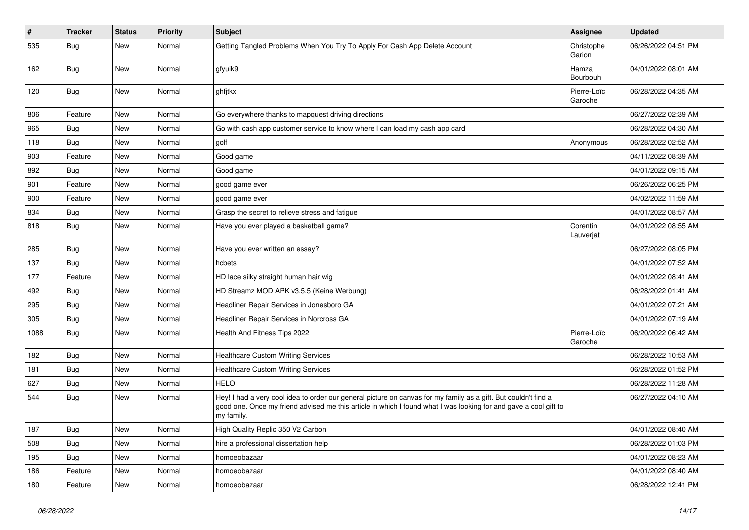| $\vert$ # | <b>Tracker</b> | <b>Status</b> | <b>Priority</b> | <b>Subject</b>                                                                                                                                                                                                                                    | Assignee               | <b>Updated</b>      |
|-----------|----------------|---------------|-----------------|---------------------------------------------------------------------------------------------------------------------------------------------------------------------------------------------------------------------------------------------------|------------------------|---------------------|
| 535       | <b>Bug</b>     | New           | Normal          | Getting Tangled Problems When You Try To Apply For Cash App Delete Account                                                                                                                                                                        | Christophe<br>Garion   | 06/26/2022 04:51 PM |
| 162       | Bug            | New           | Normal          | gfyuik9                                                                                                                                                                                                                                           | Hamza<br>Bourbouh      | 04/01/2022 08:01 AM |
| 120       | Bug            | New           | Normal          | ghfjtkx                                                                                                                                                                                                                                           | Pierre-Loïc<br>Garoche | 06/28/2022 04:35 AM |
| 806       | Feature        | New           | Normal          | Go everywhere thanks to mapquest driving directions                                                                                                                                                                                               |                        | 06/27/2022 02:39 AM |
| 965       | Bug            | New           | Normal          | Go with cash app customer service to know where I can load my cash app card                                                                                                                                                                       |                        | 06/28/2022 04:30 AM |
| 118       | Bug            | New           | Normal          | golf                                                                                                                                                                                                                                              | Anonymous              | 06/28/2022 02:52 AM |
| 903       | Feature        | <b>New</b>    | Normal          | Good game                                                                                                                                                                                                                                         |                        | 04/11/2022 08:39 AM |
| 892       | <b>Bug</b>     | New           | Normal          | Good game                                                                                                                                                                                                                                         |                        | 04/01/2022 09:15 AM |
| 901       | Feature        | New           | Normal          | good game ever                                                                                                                                                                                                                                    |                        | 06/26/2022 06:25 PM |
| 900       | Feature        | New           | Normal          | good game ever                                                                                                                                                                                                                                    |                        | 04/02/2022 11:59 AM |
| 834       | Bug            | New           | Normal          | Grasp the secret to relieve stress and fatigue                                                                                                                                                                                                    |                        | 04/01/2022 08:57 AM |
| 818       | <b>Bug</b>     | New           | Normal          | Have you ever played a basketball game?                                                                                                                                                                                                           | Corentin<br>Lauverjat  | 04/01/2022 08:55 AM |
| 285       | Bug            | New           | Normal          | Have you ever written an essay?                                                                                                                                                                                                                   |                        | 06/27/2022 08:05 PM |
| 137       | Bug            | New           | Normal          | hcbets                                                                                                                                                                                                                                            |                        | 04/01/2022 07:52 AM |
| 177       | Feature        | New           | Normal          | HD lace silky straight human hair wig                                                                                                                                                                                                             |                        | 04/01/2022 08:41 AM |
| 492       | <b>Bug</b>     | New           | Normal          | HD Streamz MOD APK v3.5.5 (Keine Werbung)                                                                                                                                                                                                         |                        | 06/28/2022 01:41 AM |
| 295       | Bug            | New           | Normal          | Headliner Repair Services in Jonesboro GA                                                                                                                                                                                                         |                        | 04/01/2022 07:21 AM |
| 305       | Bug            | New           | Normal          | Headliner Repair Services in Norcross GA                                                                                                                                                                                                          |                        | 04/01/2022 07:19 AM |
| 1088      | <b>Bug</b>     | New           | Normal          | Health And Fitness Tips 2022                                                                                                                                                                                                                      | Pierre-Loïc<br>Garoche | 06/20/2022 06:42 AM |
| 182       | Bug            | New           | Normal          | <b>Healthcare Custom Writing Services</b>                                                                                                                                                                                                         |                        | 06/28/2022 10:53 AM |
| 181       | Bug            | New           | Normal          | <b>Healthcare Custom Writing Services</b>                                                                                                                                                                                                         |                        | 06/28/2022 01:52 PM |
| 627       | Bug            | New           | Normal          | <b>HELO</b>                                                                                                                                                                                                                                       |                        | 06/28/2022 11:28 AM |
| 544       | <b>Bug</b>     | New           | Normal          | Hey! I had a very cool idea to order our general picture on canvas for my family as a gift. But couldn't find a<br>good one. Once my friend advised me this article in which I found what I was looking for and gave a cool gift to<br>my family. |                        | 06/27/2022 04:10 AM |
| 187       | <b>Bug</b>     | New           | Normal          | High Quality Replic 350 V2 Carbon                                                                                                                                                                                                                 |                        | 04/01/2022 08:40 AM |
| 508       | Bug            | New           | Normal          | hire a professional dissertation help                                                                                                                                                                                                             |                        | 06/28/2022 01:03 PM |
| 195       | Bug            | New           | Normal          | homoeobazaar                                                                                                                                                                                                                                      |                        | 04/01/2022 08:23 AM |
| 186       | Feature        | New           | Normal          | homoeobazaar                                                                                                                                                                                                                                      |                        | 04/01/2022 08:40 AM |
| 180       | Feature        | New           | Normal          | homoeobazaar                                                                                                                                                                                                                                      |                        | 06/28/2022 12:41 PM |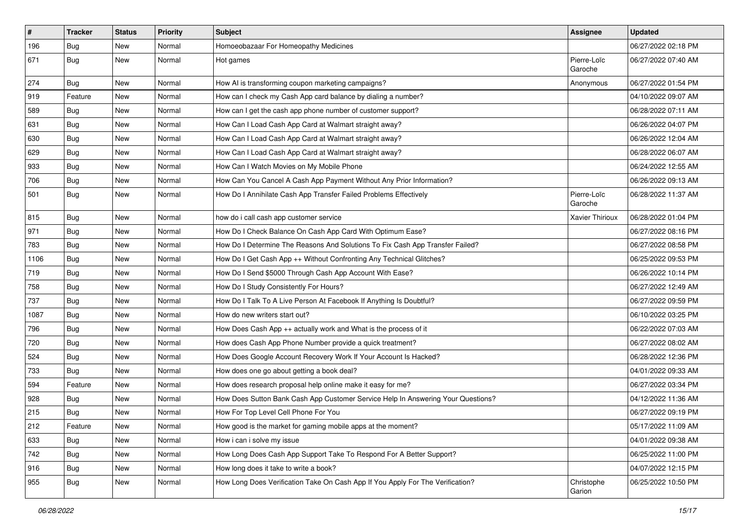| $\pmb{\#}$ | Tracker    | <b>Status</b> | <b>Priority</b> | <b>Subject</b>                                                                   | <b>Assignee</b>        | <b>Updated</b>      |
|------------|------------|---------------|-----------------|----------------------------------------------------------------------------------|------------------------|---------------------|
| 196        | <b>Bug</b> | New           | Normal          | Homoeobazaar For Homeopathy Medicines                                            |                        | 06/27/2022 02:18 PM |
| 671        | <b>Bug</b> | <b>New</b>    | Normal          | Hot games                                                                        | Pierre-Loïc<br>Garoche | 06/27/2022 07:40 AM |
| 274        | Bug        | New           | Normal          | How AI is transforming coupon marketing campaigns?                               | Anonymous              | 06/27/2022 01:54 PM |
| 919        | Feature    | New           | Normal          | How can I check my Cash App card balance by dialing a number?                    |                        | 04/10/2022 09:07 AM |
| 589        | <b>Bug</b> | New           | Normal          | How can I get the cash app phone number of customer support?                     |                        | 06/28/2022 07:11 AM |
| 631        | <b>Bug</b> | New           | Normal          | How Can I Load Cash App Card at Walmart straight away?                           |                        | 06/26/2022 04:07 PM |
| 630        | Bug        | New           | Normal          | How Can I Load Cash App Card at Walmart straight away?                           |                        | 06/26/2022 12:04 AM |
| 629        | <b>Bug</b> | New           | Normal          | How Can I Load Cash App Card at Walmart straight away?                           |                        | 06/28/2022 06:07 AM |
| 933        | Bug        | New           | Normal          | How Can I Watch Movies on My Mobile Phone                                        |                        | 06/24/2022 12:55 AM |
| 706        | <b>Bug</b> | New           | Normal          | How Can You Cancel A Cash App Payment Without Any Prior Information?             |                        | 06/26/2022 09:13 AM |
| 501        | <b>Bug</b> | New           | Normal          | How Do I Annihilate Cash App Transfer Failed Problems Effectively                | Pierre-Loïc<br>Garoche | 06/28/2022 11:37 AM |
| 815        | <b>Bug</b> | New           | Normal          | how do i call cash app customer service                                          | Xavier Thirioux        | 06/28/2022 01:04 PM |
| 971        | <b>Bug</b> | New           | Normal          | How Do I Check Balance On Cash App Card With Optimum Ease?                       |                        | 06/27/2022 08:16 PM |
| 783        | Bug        | New           | Normal          | How Do I Determine The Reasons And Solutions To Fix Cash App Transfer Failed?    |                        | 06/27/2022 08:58 PM |
| 1106       | <b>Bug</b> | New           | Normal          | How Do I Get Cash App ++ Without Confronting Any Technical Glitches?             |                        | 06/25/2022 09:53 PM |
| 719        | Bug        | New           | Normal          | How Do I Send \$5000 Through Cash App Account With Ease?                         |                        | 06/26/2022 10:14 PM |
| 758        | <b>Bug</b> | New           | Normal          | How Do I Study Consistently For Hours?                                           |                        | 06/27/2022 12:49 AM |
| 737        | Bug        | New           | Normal          | How Do I Talk To A Live Person At Facebook If Anything Is Doubtful?              |                        | 06/27/2022 09:59 PM |
| 1087       | <b>Bug</b> | New           | Normal          | How do new writers start out?                                                    |                        | 06/10/2022 03:25 PM |
| 796        | <b>Bug</b> | New           | Normal          | How Does Cash App ++ actually work and What is the process of it                 |                        | 06/22/2022 07:03 AM |
| 720        | Bug        | New           | Normal          | How does Cash App Phone Number provide a quick treatment?                        |                        | 06/27/2022 08:02 AM |
| 524        | <b>Bug</b> | New           | Normal          | How Does Google Account Recovery Work If Your Account Is Hacked?                 |                        | 06/28/2022 12:36 PM |
| 733        | <b>Bug</b> | New           | Normal          | How does one go about getting a book deal?                                       |                        | 04/01/2022 09:33 AM |
| 594        | Feature    | New           | Normal          | How does research proposal help online make it easy for me?                      |                        | 06/27/2022 03:34 PM |
| 928        | <b>Bug</b> | New           | Normal          | How Does Sutton Bank Cash App Customer Service Help In Answering Your Questions? |                        | 04/12/2022 11:36 AM |
| 215        | <b>Bug</b> | <b>New</b>    | Normal          | How For Top Level Cell Phone For You                                             |                        | 06/27/2022 09:19 PM |
| 212        | Feature    | New           | Normal          | How good is the market for gaming mobile apps at the moment?                     |                        | 05/17/2022 11:09 AM |
| 633        | Bug        | New           | Normal          | How i can i solve my issue                                                       |                        | 04/01/2022 09:38 AM |
| 742        | Bug        | New           | Normal          | How Long Does Cash App Support Take To Respond For A Better Support?             |                        | 06/25/2022 11:00 PM |
| 916        | <b>Bug</b> | New           | Normal          | How long does it take to write a book?                                           |                        | 04/07/2022 12:15 PM |
| 955        | Bug        | New           | Normal          | How Long Does Verification Take On Cash App If You Apply For The Verification?   | Christophe<br>Garion   | 06/25/2022 10:50 PM |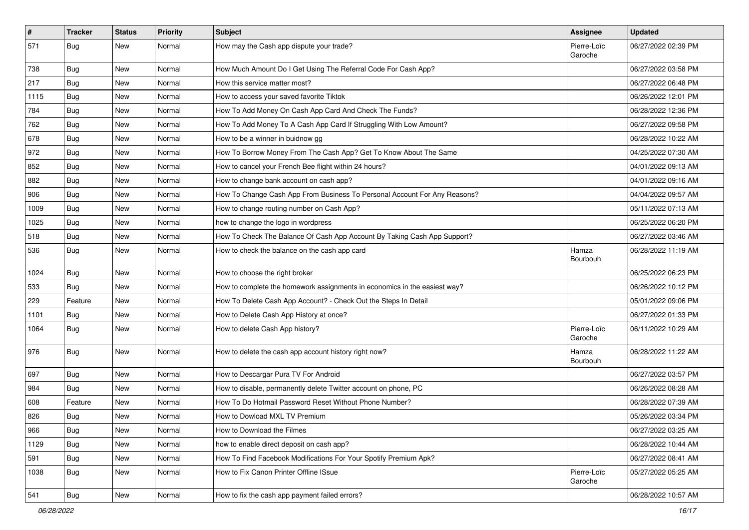| $\vert$ # | <b>Tracker</b> | <b>Status</b> | <b>Priority</b> | <b>Subject</b>                                                            | <b>Assignee</b>        | <b>Updated</b>      |
|-----------|----------------|---------------|-----------------|---------------------------------------------------------------------------|------------------------|---------------------|
| 571       | <b>Bug</b>     | New           | Normal          | How may the Cash app dispute your trade?                                  | Pierre-Loïc<br>Garoche | 06/27/2022 02:39 PM |
| 738       | Bug            | New           | Normal          | How Much Amount Do I Get Using The Referral Code For Cash App?            |                        | 06/27/2022 03:58 PM |
| 217       | <b>Bug</b>     | New           | Normal          | How this service matter most?                                             |                        | 06/27/2022 06:48 PM |
| 1115      | Bug            | <b>New</b>    | Normal          | How to access your saved favorite Tiktok                                  |                        | 06/26/2022 12:01 PM |
| 784       | Bug            | New           | Normal          | How To Add Money On Cash App Card And Check The Funds?                    |                        | 06/28/2022 12:36 PM |
| 762       | <b>Bug</b>     | <b>New</b>    | Normal          | How To Add Money To A Cash App Card If Struggling With Low Amount?        |                        | 06/27/2022 09:58 PM |
| 678       | Bug            | New           | Normal          | How to be a winner in buidnow gg                                          |                        | 06/28/2022 10:22 AM |
| 972       | <b>Bug</b>     | New           | Normal          | How To Borrow Money From The Cash App? Get To Know About The Same         |                        | 04/25/2022 07:30 AM |
| 852       | <b>Bug</b>     | <b>New</b>    | Normal          | How to cancel your French Bee flight within 24 hours?                     |                        | 04/01/2022 09:13 AM |
| 882       | <b>Bug</b>     | New           | Normal          | How to change bank account on cash app?                                   |                        | 04/01/2022 09:16 AM |
| 906       | Bug            | New           | Normal          | How To Change Cash App From Business To Personal Account For Any Reasons? |                        | 04/04/2022 09:57 AM |
| 1009      | <b>Bug</b>     | New           | Normal          | How to change routing number on Cash App?                                 |                        | 05/11/2022 07:13 AM |
| 1025      | <b>Bug</b>     | <b>New</b>    | Normal          | how to change the logo in wordpress                                       |                        | 06/25/2022 06:20 PM |
| 518       | Bug            | New           | Normal          | How To Check The Balance Of Cash App Account By Taking Cash App Support?  |                        | 06/27/2022 03:46 AM |
| 536       | <b>Bug</b>     | New           | Normal          | How to check the balance on the cash app card                             | Hamza<br>Bourbouh      | 06/28/2022 11:19 AM |
| 1024      | Bug            | <b>New</b>    | Normal          | How to choose the right broker                                            |                        | 06/25/2022 06:23 PM |
| 533       | Bug            | New           | Normal          | How to complete the homework assignments in economics in the easiest way? |                        | 06/26/2022 10:12 PM |
| 229       | Feature        | <b>New</b>    | Normal          | How To Delete Cash App Account? - Check Out the Steps In Detail           |                        | 05/01/2022 09:06 PM |
| 1101      | <b>Bug</b>     | New           | Normal          | How to Delete Cash App History at once?                                   |                        | 06/27/2022 01:33 PM |
| 1064      | <b>Bug</b>     | New           | Normal          | How to delete Cash App history?                                           | Pierre-Loïc<br>Garoche | 06/11/2022 10:29 AM |
| 976       | Bug            | <b>New</b>    | Normal          | How to delete the cash app account history right now?                     | Hamza<br>Bourbouh      | 06/28/2022 11:22 AM |
| 697       | Bug            | <b>New</b>    | Normal          | How to Descargar Pura TV For Android                                      |                        | 06/27/2022 03:57 PM |
| 984       | <b>Bug</b>     | New           | Normal          | How to disable, permanently delete Twitter account on phone, PC           |                        | 06/26/2022 08:28 AM |
| 608       | Feature        | New           | Normal          | How To Do Hotmail Password Reset Without Phone Number?                    |                        | 06/28/2022 07:39 AM |
| 826       | <b>Bug</b>     | New           | Normal          | How to Dowload MXL TV Premium                                             |                        | 05/26/2022 03:34 PM |
| 966       | <b>Bug</b>     | New           | Normal          | How to Download the Filmes                                                |                        | 06/27/2022 03:25 AM |
| 1129      | Bug            | New           | Normal          | how to enable direct deposit on cash app?                                 |                        | 06/28/2022 10:44 AM |
| 591       | Bug            | New           | Normal          | How To Find Facebook Modifications For Your Spotify Premium Apk?          |                        | 06/27/2022 08:41 AM |
| 1038      | <b>Bug</b>     | New           | Normal          | How to Fix Canon Printer Offline ISsue                                    | Pierre-Loïc<br>Garoche | 05/27/2022 05:25 AM |
| 541       | Bug            | New           | Normal          | How to fix the cash app payment failed errors?                            |                        | 06/28/2022 10:57 AM |